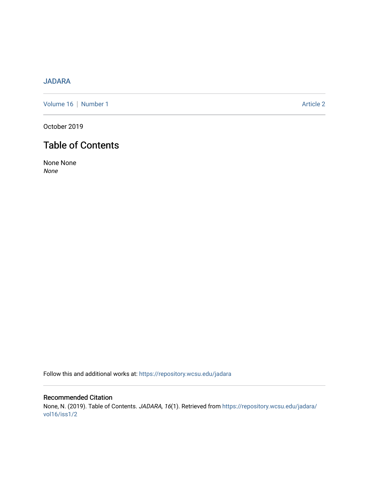## [JADARA](https://repository.wcsu.edu/jadara)

[Volume 16](https://repository.wcsu.edu/jadara/vol16) | [Number 1](https://repository.wcsu.edu/jadara/vol16/iss1) Article 2

October 2019

# Table of Contents

None None None

Follow this and additional works at: [https://repository.wcsu.edu/jadara](https://repository.wcsu.edu/jadara?utm_source=repository.wcsu.edu%2Fjadara%2Fvol16%2Fiss1%2F2&utm_medium=PDF&utm_campaign=PDFCoverPages)

Recommended Citation None, N. (2019). Table of Contents. JADARA, 16(1). Retrieved from [https://repository.wcsu.edu/jadara/](https://repository.wcsu.edu/jadara/vol16/iss1/2?utm_source=repository.wcsu.edu%2Fjadara%2Fvol16%2Fiss1%2F2&utm_medium=PDF&utm_campaign=PDFCoverPages) [vol16/iss1/2](https://repository.wcsu.edu/jadara/vol16/iss1/2?utm_source=repository.wcsu.edu%2Fjadara%2Fvol16%2Fiss1%2F2&utm_medium=PDF&utm_campaign=PDFCoverPages)